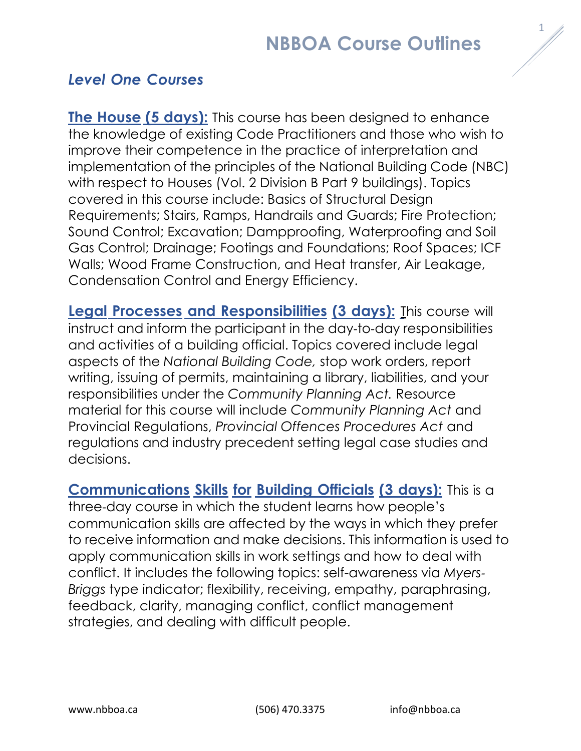# **NBBOA Course Outlines**

### *Level One Courses*

**The House (5 days):** This course has been designed to enhance the knowledge of existing Code Practitioners and those who wish to improve their competence in the practice of interpretation and implementation of the principles of the National Building Code (NBC) with respect to Houses (Vol. 2 Division B Part 9 buildings). Topics covered in this course include: Basics of Structural Design Requirements; Stairs, Ramps, Handrails and Guards; Fire Protection; Sound Control; Excavation; Dampproofing, Waterproofing and Soil Gas Control; Drainage; Footings and Foundations; Roof Spaces; ICF Walls; Wood Frame Construction, and Heat transfer, Air Leakage, Condensation Control and Energy Efficiency.

**Legal Processes and Responsibilities (3 days):** This course will instruct and inform the participant in the day-to-day responsibilities and activities of a building official. Topics covered include legal aspects of the *National Building Code,* stop work orders, report writing, issuing of permits, maintaining a library, liabilities, and your responsibilities under the *Community Planning Act.* Resource material for this course will include *Community Planning Act* and Provincial Regulations, *Provincial Offences Procedures Act* and regulations and industry precedent setting legal case studies and decisions.

**Communications Skills for Building Officials (3 days):** This is a three-day course in which the student learns how people's communication skills are affected by the ways in which they prefer to receive information and make decisions. This information is used to apply communication skills in work settings and how to deal with conflict. It includes the following topics: self-awareness via *Myers-Briggs* type indicator; flexibility, receiving, empathy, paraphrasing, feedback, clarity, managing conflict, conflict management strategies, and dealing with difficult people.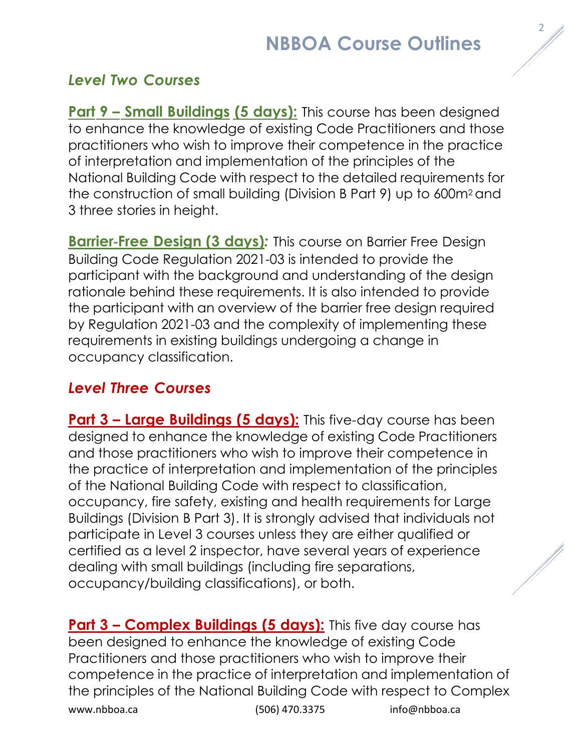# **NBBOA Course Outlines**

### *Level Two Courses*

**Part 9 – Small Buildings (5 days):** This course has been designed to enhance the knowledge of existing Code Practitioners and those practitioners who wish to improve their competence in the practice of interpretation and implementation of the principles of the National Building Code with respect to the detailed requirements for the construction of small building (Division B Part 9) up to 600m2 and 3 three stories in height.

**Barrier-Free Design (3 days)***:* This course on Barrier Free Design Building Code Regulation 2021-03 is intended to provide the participant with the background and understanding of the design rationale behind these requirements. It is also intended to provide the participant with an overview of the barrier free design required by Regulation 2021-03 and the complexity of implementing these requirements in existing buildings undergoing a change in occupancy classification.

#### *Level Three Courses*

**Part 3 – Large Buildings (5 days):** This five-day course has been designed to enhance the knowledge of existing Code Practitioners and those practitioners who wish to improve their competence in the practice of interpretation and implementation of the principles of the National Building Code with respect to classification, occupancy, fire safety, existing and health requirements for Large Buildings (Division B Part 3). It is strongly advised that individuals not participate in Level 3 courses unless they are either qualified or certified as a level 2 inspector, have several years of experience dealing with small buildings (including fire separations, occupancy/building classifications), or both.

[www.nbboa.ca](http://www.nbboa.ca/) (506) 470.3375 [info@nbboa.ca](mailto:info@nbboa.ca) **Part 3 – Complex Buildings (5 days):** This five day course has been designed to enhance the knowledge of existing Code Practitioners and those practitioners who wish to improve their competence in the practice of interpretation and implementation of the principles of the National Building Code with respect to Complex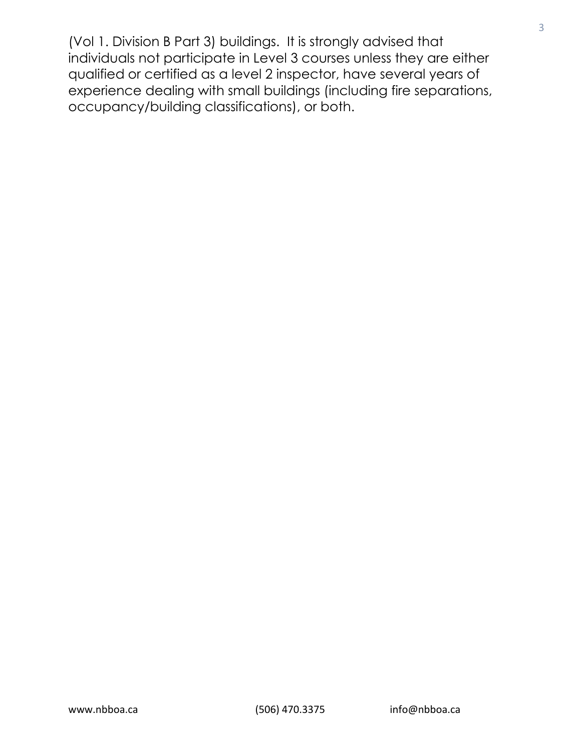(Vol 1. Division B Part 3) buildings. It is strongly advised that individuals not participate in Level 3 courses unless they are either qualified or certified as a level 2 inspector, have several years of experience dealing with small buildings (including fire separations, occupancy/building classifications), or both.